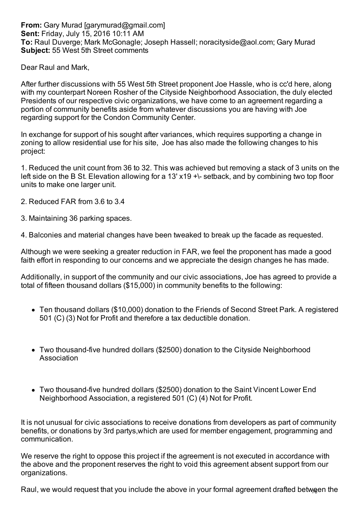**From:** Gary Murad [garymurad@gmail.com] **Sent:** Friday, July 15, 2016 10:11 AM **To:** Raul Duverge; Mark McGonagle; Joseph Hassell; noracityside@aol.com; Gary Murad **Subject:** 55 West 5th Street comments

Dear Raul and Mark,

After further discussions with 55 West 5th Street proponent Joe Hassle, who is cc'd here, along with my counterpart Noreen Rosher of the Cityside Neighborhood Association, the duly elected Presidents of our respective civic organizations, we have come to an agreement regarding a portion of community benefits aside from whatever discussions you are having with Joe regarding support for the Condon Community Center.

In exchange for support of his sought after variances, which requires supporting a change in zoning to allow residential use for his site, Joe has also made the following changes to his project:

1. Reduced the unit count from 36 to 32. This was achieved but removing a stack of 3 units on the left side on the B St. Elevation allowing for a 13' x19 +\- setback, and by combining two top floor units to make one larger unit.

- 2. Reduced FAR from 3.6 to 3.4
- 3. Maintaining 36 parking spaces.

4. Balconies and material changes have been tweaked to break up the facade as requested.

Although we were seeking a greater reduction in FAR, we feel the proponent has made a good faith effort in responding to our concerns and we appreciate the design changes he has made.

Additionally, in support of the community and our civic associations, Joe has agreed to provide a total of fifteen thousand dollars (\$15,000) in community benefits to the following:

- Ten thousand dollars (\$10,000) donation to the Friends of Second Street Park. A registered 501 (C) (3) Not for Profit and therefore a tax deductible donation.
- Two thousand-five hundred dollars (\$2500) donation to the Cityside Neighborhood Association
- Two thousand-five hundred dollars (\$2500) donation to the Saint Vincent Lower End Neighborhood Association, a registered 501 (C) (4) Not for Profit.

It is not unusual for civic associations to receive donations from developers as part of community benefits, or donations by 3rd partys,which are used for member engagement, programming and communication.

We reserve the right to oppose this project if the agreement is not executed in accordance with the above and the proponent reserves the right to void this agreement absent support from our organizations.

Raul, we would request that you include the above in your formal agreement drafted between the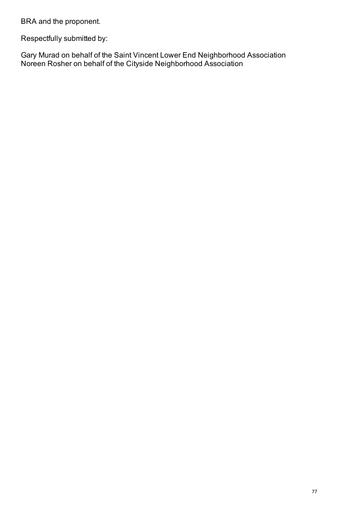BRA and the proponent.

Respectfully submitted by:

Gary Murad on behalf of the Saint Vincent Lower End Neighborhood Association Noreen Rosher on behalf of the Cityside Neighborhood Association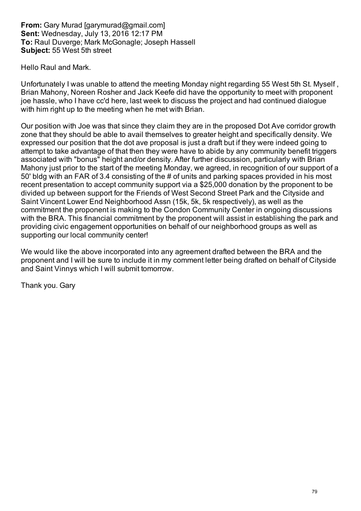**From:** Gary Murad [garymurad@gmail.com] **Sent:** Wednesday, July 13, 2016 12:17 PM **To:** Raul Duverge; Mark McGonagle; Joseph Hassell **Subject:** 55 West 5th street

Hello Raul and Mark.

Unfortunately I was unable to attend the meeting Monday night regarding 55 West 5th St. Myself , Brian Mahony, Noreen Rosher and Jack Keefe did have the opportunity to meet with proponent joe hassle, who I have cc'd here, last week to discuss the project and had continued dialogue with him right up to the meeting when he met with Brian.

Our position with Joe was that since they claim they are in the proposed Dot Ave corridor growth zone that they should be able to avail themselves to greater height and specifically density. We expressed our position that the dot ave proposal is just a draft but if they were indeed going to attempt to take advantage of that then they were have to abide by any community benefit triggers associated with "bonus" height and/or density. After further discussion, particularly with Brian Mahony just prior to the start of the meeting Monday, we agreed, in recognition of our support of a 50' bldg with an FAR of 3.4 consisting of the # of units and parking spaces provided in his most recent presentation to accept community support via a \$25,000 donation by the proponent to be divided up between support for the Friends of West Second Street Park and the Cityside and Saint Vincent Lower End Neighborhood Assn (15k, 5k, 5k respectively), as well as the commitment the proponent is making to the Condon Community Center in ongoing discussions with the BRA. This financial commitment by the proponent will assist in establishing the park and providing civic engagement opportunities on behalf of our neighborhood groups as well as supporting our local community center!

We would like the above incorporated into any agreement drafted between the BRA and the proponent and I will be sure to include it in my comment letter being drafted on behalf of Cityside and Saint Vinnys which I will submit tomorrow.

Thank you. Gary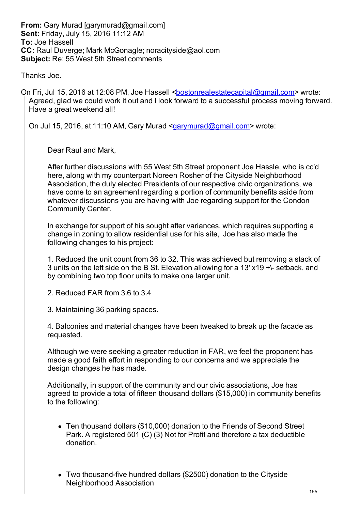**From:** Gary Murad [garymurad@gmail.com] **Sent:** Friday, July 15, 2016 11:12 AM **To:** Joe Hassell **CC:** Raul Duverge; Mark McGonagle; noracityside@aol.com **Subject:** Re: 55 West 5th Street comments

Thanks Joe.

On Fri, Jul 15, 2016 at 12:08 PM, Joe Hassell <br/>**bostonrealestatecapital@gmail.com>** wrote: Agreed, glad we could work it out and I look forward to a successful process moving forward. Have a great weekend all!

On Jul 15, 2016, at 11:10 AM, Gary Murad <garymurad@gmail.com> wrote:

Dear Raul and Mark,

After further discussions with 55 West 5th Street proponent Joe Hassle, who is cc'd here, along with my counterpart Noreen Rosher of the Cityside Neighborhood Association, the duly elected Presidents of our respective civic organizations, we have come to an agreement regarding a portion of community benefits aside from whatever discussions you are having with Joe regarding support for the Condon Community Center.

In exchange for support of his sought after variances, which requires supporting a change in zoning to allow residential use for his site, Joe has also made the following changes to his project:

1. Reduced the unit count from 36 to 32. This was achieved but removing a stack of 3 units on the left side on the B St. Elevation allowing for a 13' x19 +\- setback, and by combining two top floor units to make one larger unit.

2. Reduced FAR from 3.6 to 3.4

3. Maintaining 36 parking spaces.

4. Balconies and material changes have been tweaked to break up the facade as requested.

Although we were seeking a greater reduction in FAR, we feel the proponent has made a good faith effort in responding to our concerns and we appreciate the design changes he has made.

Additionally, in support of the community and our civic associations, Joe has agreed to provide a total of fifteen thousand dollars (\$15,000) in community benefits to the following:

- Ten thousand dollars (\$10,000) donation to the Friends of Second Street Park. A registered 501 (C) (3) Not for Profit and therefore a tax deductible donation.
- Two thousand-five hundred dollars (\$2500) donation to the Cityside Neighborhood Association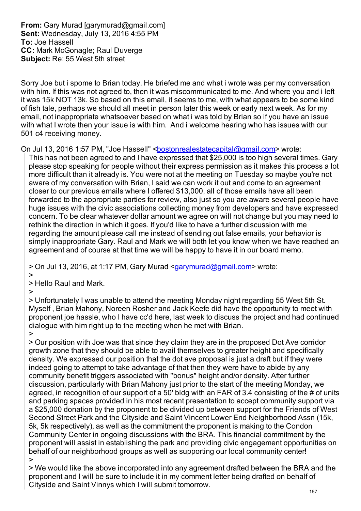**From:** Gary Murad [garymurad@gmail.com] **Sent:** Wednesday, July 13, 2016 4:55 PM **To:** Joe Hassell **CC:** Mark McGonagle; Raul Duverge **Subject:** Re: 55 West 5th street

Sorry Joe but i spome to Brian today. He briefed me and what i wrote was per my conversation with him. If this was not agreed to, then it was miscommunicated to me. And where you and i left it was 15k NOT 13k. So based on this email, it seems to me, with what appears to be some kind of fish tale, perhaps we should all meet in person later this week or early next week. As for my email, not inappropriate whatsoever based on what i was told by Brian so if you have an issue with what I wrote then your issue is with him. And i welcome hearing who has issues with our 501 c4 receiving money.

On Jul 13, 2016 1:57 PM, "Joe Hassell" <br/>bostonrealestatecapital@gmail.com> wrote:

This has not been agreed to and I have expressed that \$25,000 is too high several times. Gary please stop speaking for people without their express permission as it makes this process a lot more difficult than it already is. You were not at the meeting on Tuesday so maybe you're not aware of my conversation with Brian, I said we can work it out and come to an agreement closer to our previous emails where I offered \$13,000, all of those emails have all been forwarded to the appropriate parties for review, also just so you are aware several people have huge issues with the civic associations collecting money from developers and have expressed concern. To be clear whatever dollar amount we agree on will not change but you may need to rethink the direction in which it goes. If you'd like to have a further discussion with me regarding the amount please call me instead of sending out false emails, your behavior is simply inappropriate Gary. Raul and Mark we will both let you know when we have reached an agreement and of course at that time we will be happy to have it in our board memo.

> On Jul 13, 2016, at 1:17 PM, Gary Murad <garymurad@gmail.com> wrote: >

> Hello Raul and Mark.

 $\rightarrow$ 

> Unfortunately I was unable to attend the meeting Monday night regarding 55 West 5th St. Myself , Brian Mahony, Noreen Rosher and Jack Keefe did have the opportunity to meet with proponent joe hassle, who I have cc'd here, last week to discuss the project and had continued dialogue with him right up to the meeting when he met with Brian. >

> Our position with Joe was that since they claim they are in the proposed Dot Ave corridor growth zone that they should be able to avail themselves to greater height and specifically density. We expressed our position that the dot ave proposal is just a draft but if they were indeed going to attempt to take advantage of that then they were have to abide by any community benefit triggers associated with "bonus" height and/or density. After further discussion, particularly with Brian Mahony just prior to the start of the meeting Monday, we agreed, in recognition of our support of a 50' bldg with an FAR of 3.4 consisting of the # of units and parking spaces provided in his most recent presentation to accept community support via a \$25,000 donation by the proponent to be divided up between support for the Friends of West Second Street Park and the Cityside and Saint Vincent Lower End Neighborhood Assn (15k, 5k, 5k respectively), as well as the commitment the proponent is making to the Condon Community Center in ongoing discussions with the BRA. This financial commitment by the proponent will assist in establishing the park and providing civic engagement opportunities on behalf of our neighborhood groups as well as supporting our local community center! >

> We would like the above incorporated into any agreement drafted between the BRA and the proponent and I will be sure to include it in my comment letter being drafted on behalf of Cityside and Saint Vinnys which I will submit tomorrow.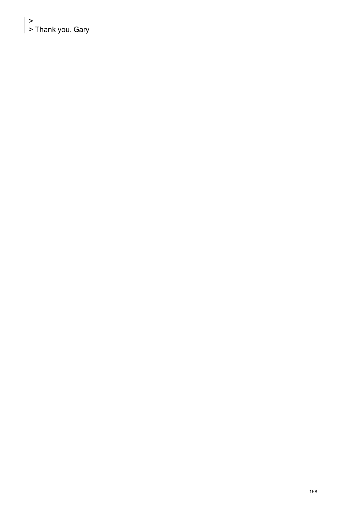>  $\vert$  > Thank you. Gary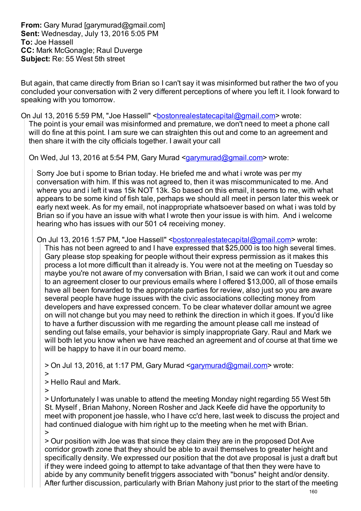**From:** Gary Murad [garymurad@gmail.com] **Sent:** Wednesday, July 13, 2016 5:05 PM **To:** Joe Hassell **CC:** Mark McGonagle; Raul Duverge **Subject:** Re: 55 West 5th street

But again, that came directly from Brian so I can't say it was misinformed but rather the two of you concluded your conversation with 2 very different perceptions of where you left it. I look forward to speaking with you tomorrow.

On Jul 13, 2016 5:59 PM, "Joe Hassell" <br />
<u>bostonrealestatecapital@gmail.com</u>> wrote: The point is your email was misinformed and premature, we don't need to meet a phone call will do fine at this point. I am sure we can straighten this out and come to an agreement and then share it with the city officials together. I await your call

On Wed, Jul 13, 2016 at 5:54 PM, Gary Murad <garymurad@gmail.com> wrote:

Sorry Joe but i spome to Brian today. He briefed me and what i wrote was per my conversation with him. If this was not agreed to, then it was miscommunicated to me. And where you and i left it was 15k NOT 13k. So based on this email, it seems to me, with what appears to be some kind of fish tale, perhaps we should all meet in person later this week or early next week. As for my email, not inappropriate whatsoever based on what i was told by Brian so if you have an issue with what I wrote then your issue is with him. And i welcome hearing who has issues with our 501 c4 receiving money.

On Jul 13, 2016 1:57 PM, "Joe Hassell" <br />bostonrealestatecapital@gmail.com> wrote: This has not been agreed to and I have expressed that \$25,000 is too high several times. Gary please stop speaking for people without their express permission as it makes this process a lot more difficult than it already is. You were not at the meeting on Tuesday so maybe you're not aware of my conversation with Brian, I said we can work it out and come to an agreement closer to our previous emails where I offered \$13,000, all of those emails have all been forwarded to the appropriate parties for review, also just so you are aware several people have huge issues with the civic associations collecting money from developers and have expressed concern. To be clear whatever dollar amount we agree on will not change but you may need to rethink the direction in which it goes. If you'd like to have a further discussion with me regarding the amount please call me instead of sending out false emails, your behavior is simply inappropriate Gary. Raul and Mark we will both let you know when we have reached an agreement and of course at that time we will be happy to have it in our board memo.

> On Jul 13, 2016, at 1:17 PM, Gary Murad <garymurad@gmail.com> wrote: >

> Hello Raul and Mark.

 $\overline{\phantom{a}}$ 

> Unfortunately I was unable to attend the meeting Monday night regarding 55 West 5th St. Myself , Brian Mahony, Noreen Rosher and Jack Keefe did have the opportunity to meet with proponent joe hassle, who I have cc'd here, last week to discuss the project and had continued dialogue with him right up to the meeting when he met with Brian. >

> Our position with Joe was that since they claim they are in the proposed Dot Ave corridor growth zone that they should be able to avail themselves to greater height and specifically density. We expressed our position that the dot ave proposal is just a draft but if they were indeed going to attempt to take advantage of that then they were have to abide by any community benefit triggers associated with "bonus" height and/or density. After further discussion, particularly with Brian Mahony just prior to the start of the meeting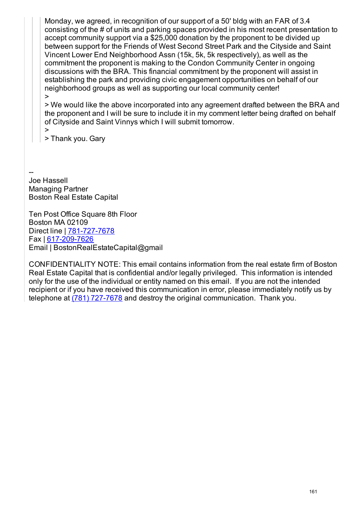Monday, we agreed, in recognition of our support of a 50' bldg with an FAR of 3.4 consisting of the # of units and parking spaces provided in his most recent presentation to accept community support via a \$25,000 donation by the proponent to be divided up between support for the Friends of West Second Street Park and the Cityside and Saint Vincent Lower End Neighborhood Assn (15k, 5k, 5k respectively), as well as the commitment the proponent is making to the Condon Community Center in ongoing discussions with the BRA. This financial commitment by the proponent will assist in establishing the park and providing civic engagement opportunities on behalf of our neighborhood groups as well as supporting our local community center! >

> We would like the above incorporated into any agreement drafted between the BRA and the proponent and I will be sure to include it in my comment letter being drafted on behalf of Cityside and Saint Vinnys which I will submit tomorrow.

>

> Thank you. Gary

-- Joe Hassell Managing Partner Boston Real Estate Capital

Ten Post Office Square 8th Floor Boston MA 02109 Direct line | 781-727-7678 Fax | 617-209-7626 Email | BostonRealEstateCapital@gmail

CONFIDENTIALITY NOTE: This email contains information from the real estate firm of Boston Real Estate Capital that is confidential and/or legally privileged. This information is intended only for the use of the individual or entity named on this email. If you are not the intended recipient or if you have received this communication in error, please immediately notify us by telephone at (781) 727-7678 and destroy the original communication. Thank you.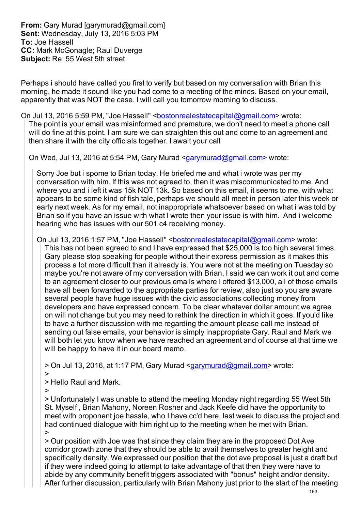**From:** Gary Murad [garymurad@gmail.com] **Sent:** Wednesday, July 13, 2016 5:03 PM **To:** Joe Hassell **CC:** Mark McGonagle; Raul Duverge **Subject:** Re: 55 West 5th street

Perhaps i should have called you first to verify but based on my conversation with Brian this morning, he made it sound like you had come to a meeting of the minds. Based on your email, apparently that was NOT the case. I will call you tomorrow morning to discuss.

On Jul 13, 2016 5:59 PM, "Joe Hassell" <br />
<u>bostonrealestatecapital@gmail.com</u>> wrote: The point is your email was misinformed and premature, we don't need to meet a phone call

will do fine at this point. I am sure we can straighten this out and come to an agreement and then share it with the city officials together. I await your call

On Wed, Jul 13, 2016 at 5:54 PM, Gary Murad <garymurad@gmail.com> wrote:

Sorry Joe but i spome to Brian today. He briefed me and what i wrote was per my conversation with him. If this was not agreed to, then it was miscommunicated to me. And where you and i left it was 15k NOT 13k. So based on this email, it seems to me, with what appears to be some kind of fish tale, perhaps we should all meet in person later this week or early next week. As for my email, not inappropriate whatsoever based on what i was told by Brian so if you have an issue with what I wrote then your issue is with him. And i welcome hearing who has issues with our 501 c4 receiving money.

On Jul 13, 2016 1:57 PM, "Joe Hassell" <br />bostonrealestatecapital@gmail.com> wrote: This has not been agreed to and I have expressed that \$25,000 is too high several times. Gary please stop speaking for people without their express permission as it makes this process a lot more difficult than it already is. You were not at the meeting on Tuesday so maybe you're not aware of my conversation with Brian, I said we can work it out and come to an agreement closer to our previous emails where I offered \$13,000, all of those emails have all been forwarded to the appropriate parties for review, also just so you are aware several people have huge issues with the civic associations collecting money from developers and have expressed concern. To be clear whatever dollar amount we agree on will not change but you may need to rethink the direction in which it goes. If you'd like to have a further discussion with me regarding the amount please call me instead of sending out false emails, your behavior is simply inappropriate Gary. Raul and Mark we will both let you know when we have reached an agreement and of course at that time we will be happy to have it in our board memo.

> On Jul 13, 2016, at 1:17 PM, Gary Murad <garymurad@gmail.com> wrote: >

> Hello Raul and Mark.

 $\overline{\phantom{a}}$ 

> Unfortunately I was unable to attend the meeting Monday night regarding 55 West 5th St. Myself , Brian Mahony, Noreen Rosher and Jack Keefe did have the opportunity to meet with proponent joe hassle, who I have cc'd here, last week to discuss the project and had continued dialogue with him right up to the meeting when he met with Brian. >

> Our position with Joe was that since they claim they are in the proposed Dot Ave corridor growth zone that they should be able to avail themselves to greater height and specifically density. We expressed our position that the dot ave proposal is just a draft but if they were indeed going to attempt to take advantage of that then they were have to abide by any community benefit triggers associated with "bonus" height and/or density. After further discussion, particularly with Brian Mahony just prior to the start of the meeting